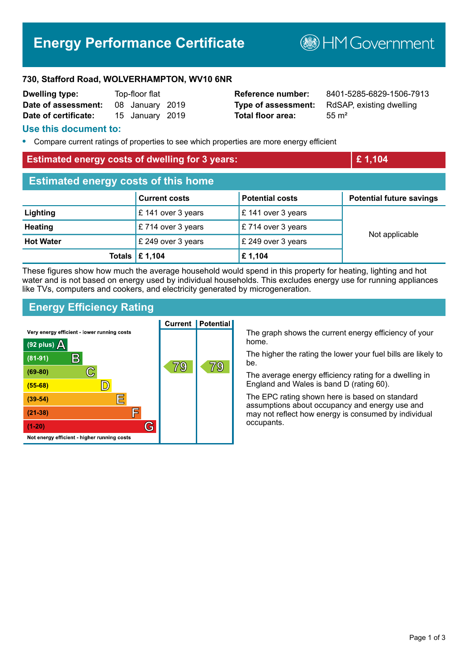# **Energy Performance Certificate**

**B**HMGovernment

#### **730, Stafford Road, WOLVERHAMPTON, WV10 6NR**

| <b>Dwelling type:</b> | Top-floor flat |                 |  |
|-----------------------|----------------|-----------------|--|
| Date of assessment:   |                | 08 January 2019 |  |
| Date of certificate:  |                | 15 January 2019 |  |

**Total floor area:** 55 m<sup>2</sup>

**Reference number:** 8401-5285-6829-1506-7913 **Type of assessment:** RdSAP, existing dwelling

#### **Use this document to:**

**•** Compare current ratings of properties to see which properties are more energy efficient

#### **Estimated energy costs of dwelling for 3 years: <b>EXECUTE:** 1,104

| <b>Estimated energy costs of this home</b> |                                 |                        |                                 |  |
|--------------------------------------------|---------------------------------|------------------------|---------------------------------|--|
|                                            | <b>Current costs</b>            | <b>Potential costs</b> | <b>Potential future savings</b> |  |
| Lighting                                   | £ 141 over 3 years              | £ 141 over 3 years     | Not applicable                  |  |
| <b>Heating</b>                             | $\mathsf{E}$ 714 over 3 years   | £714 over 3 years      |                                 |  |
| <b>Hot Water</b>                           | £ 249 over 3 years              | £ 249 over 3 years     |                                 |  |
|                                            | Totals $\mathbf \epsilon$ 1,104 | £1,104                 |                                 |  |

These figures show how much the average household would spend in this property for heating, lighting and hot water and is not based on energy used by individual households. This excludes energy use for running appliances like TVs, computers and cookers, and electricity generated by microgeneration.

## **Energy Efficiency Rating**



The graph shows the current energy efficiency of your home.

The higher the rating the lower your fuel bills are likely to be.

The average energy efficiency rating for a dwelling in England and Wales is band D (rating 60).

The EPC rating shown here is based on standard assumptions about occupancy and energy use and may not reflect how energy is consumed by individual occupants.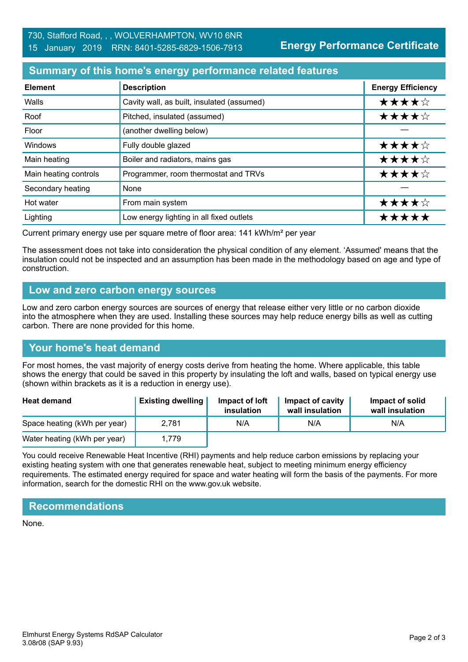**Energy Performance Certificate**

# **Summary of this home's energy performance related features**

| <b>Element</b>        | <b>Description</b>                         | <b>Energy Efficiency</b> |
|-----------------------|--------------------------------------------|--------------------------|
| Walls                 | Cavity wall, as built, insulated (assumed) | ★★★★☆                    |
| Roof                  | Pitched, insulated (assumed)               | ★★★★☆                    |
| Floor                 | (another dwelling below)                   |                          |
| Windows               | Fully double glazed                        | ★★★★☆                    |
| Main heating          | Boiler and radiators, mains gas            | ★★★★☆                    |
| Main heating controls | Programmer, room thermostat and TRVs       | ★★★★☆                    |
| Secondary heating     | None                                       |                          |
| Hot water             | From main system                           | ★★★★☆                    |
| Lighting              | Low energy lighting in all fixed outlets   | *****                    |

Current primary energy use per square metre of floor area: 141 kWh/m² per year

The assessment does not take into consideration the physical condition of any element. 'Assumed' means that the insulation could not be inspected and an assumption has been made in the methodology based on age and type of construction.

## **Low and zero carbon energy sources**

Low and zero carbon energy sources are sources of energy that release either very little or no carbon dioxide into the atmosphere when they are used. Installing these sources may help reduce energy bills as well as cutting carbon. There are none provided for this home.

# **Your home's heat demand**

For most homes, the vast majority of energy costs derive from heating the home. Where applicable, this table shows the energy that could be saved in this property by insulating the loft and walls, based on typical energy use (shown within brackets as it is a reduction in energy use).

| <b>Heat demand</b>           | <b>Existing dwelling</b> | Impact of loft<br>insulation | Impact of cavity<br>wall insulation | Impact of solid<br>wall insulation |
|------------------------------|--------------------------|------------------------------|-------------------------------------|------------------------------------|
| Space heating (kWh per year) | 2.781                    | N/A                          | N/A                                 | N/A                                |
| Water heating (kWh per year) | 1.779                    |                              |                                     |                                    |

You could receive Renewable Heat Incentive (RHI) payments and help reduce carbon emissions by replacing your existing heating system with one that generates renewable heat, subject to meeting minimum energy efficiency requirements. The estimated energy required for space and water heating will form the basis of the payments. For more information, search for the domestic RHI on the www.gov.uk website.

# **Recommendations**

None.